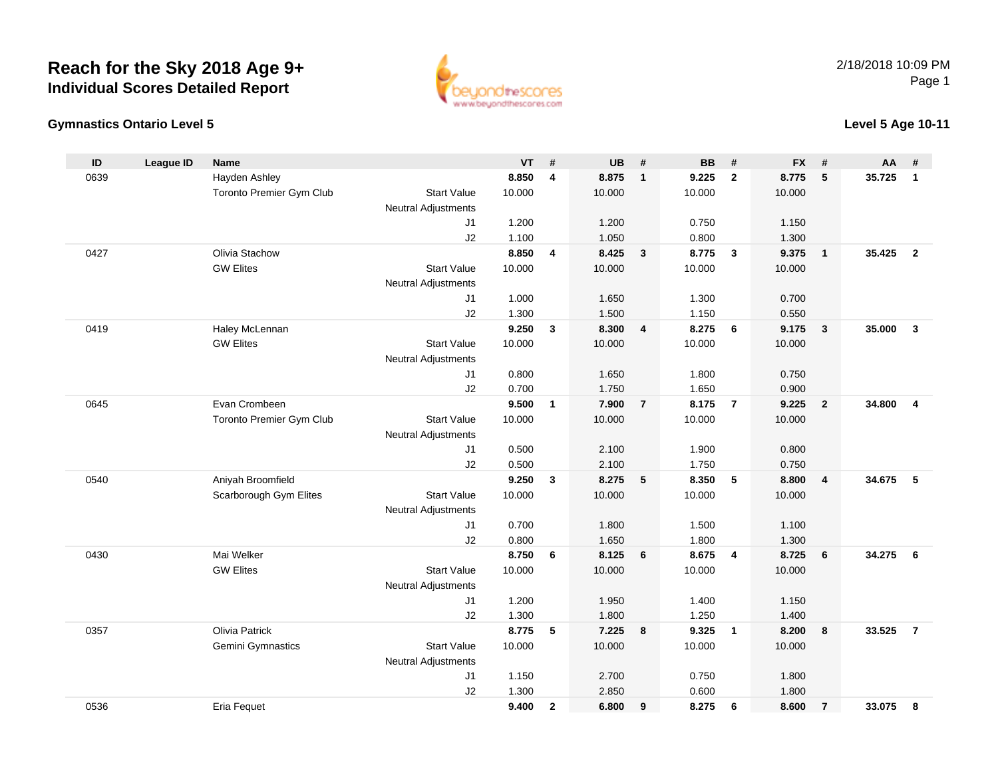



#### **Level 5 Age 10-11**

| ID   | <b>League ID</b> | <b>Name</b>              |                            | <b>VT</b> | #                       | <b>UB</b> | #              | <b>BB</b> | #                       | <b>FX</b> | #                       | AA     | #                       |
|------|------------------|--------------------------|----------------------------|-----------|-------------------------|-----------|----------------|-----------|-------------------------|-----------|-------------------------|--------|-------------------------|
| 0639 |                  | Hayden Ashley            |                            | 8.850     | $\overline{\mathbf{4}}$ | 8.875     | $\mathbf{1}$   | 9.225     | $\overline{2}$          | 8.775     | 5                       | 35.725 | $\mathbf{1}$            |
|      |                  | Toronto Premier Gym Club | <b>Start Value</b>         | 10.000    |                         | 10.000    |                | 10.000    |                         | 10.000    |                         |        |                         |
|      |                  |                          | <b>Neutral Adjustments</b> |           |                         |           |                |           |                         |           |                         |        |                         |
|      |                  |                          | J <sub>1</sub>             | 1.200     |                         | 1.200     |                | 0.750     |                         | 1.150     |                         |        |                         |
|      |                  |                          | J2                         | 1.100     |                         | 1.050     |                | 0.800     |                         | 1.300     |                         |        |                         |
| 0427 |                  | Olivia Stachow           |                            | 8.850     | 4                       | 8.425     | $\mathbf{3}$   | 8.775     | $\mathbf{3}$            | 9.375     | $\overline{1}$          | 35.425 | $\overline{2}$          |
|      |                  | <b>GW Elites</b>         | <b>Start Value</b>         | 10.000    |                         | 10.000    |                | 10.000    |                         | 10.000    |                         |        |                         |
|      |                  |                          | <b>Neutral Adjustments</b> |           |                         |           |                |           |                         |           |                         |        |                         |
|      |                  |                          | J <sub>1</sub>             | 1.000     |                         | 1.650     |                | 1.300     |                         | 0.700     |                         |        |                         |
|      |                  |                          | J2                         | 1.300     |                         | 1.500     |                | 1.150     |                         | 0.550     |                         |        |                         |
| 0419 |                  | Haley McLennan           |                            | 9.250     | $\mathbf{3}$            | 8.300     | $\overline{4}$ | 8.275     | 6                       | 9.175     | $\overline{\mathbf{3}}$ | 35.000 | $\overline{\mathbf{3}}$ |
|      |                  | <b>GW Elites</b>         | <b>Start Value</b>         | 10.000    |                         | 10.000    |                | 10.000    |                         | 10.000    |                         |        |                         |
|      |                  |                          | <b>Neutral Adjustments</b> |           |                         |           |                |           |                         |           |                         |        |                         |
|      |                  |                          | J <sub>1</sub>             | 0.800     |                         | 1.650     |                | 1.800     |                         | 0.750     |                         |        |                         |
|      |                  |                          | J2                         | 0.700     |                         | 1.750     |                | 1.650     |                         | 0.900     |                         |        |                         |
| 0645 |                  | Evan Crombeen            |                            | 9.500     | $\mathbf{1}$            | 7.900     | $\overline{7}$ | 8.175     | $\overline{7}$          | 9.225     | $\overline{2}$          | 34.800 | $\overline{4}$          |
|      |                  | Toronto Premier Gym Club | <b>Start Value</b>         | 10.000    |                         | 10.000    |                | 10.000    |                         | 10.000    |                         |        |                         |
|      |                  |                          | <b>Neutral Adjustments</b> |           |                         |           |                |           |                         |           |                         |        |                         |
|      |                  |                          | J <sub>1</sub>             | 0.500     |                         | 2.100     |                | 1.900     |                         | 0.800     |                         |        |                         |
|      |                  |                          | J2                         | 0.500     |                         | 2.100     |                | 1.750     |                         | 0.750     |                         |        |                         |
| 0540 |                  | Aniyah Broomfield        |                            | 9.250     | $\mathbf{3}$            | 8.275     | 5              | 8.350     | 5                       | 8.800     | $\overline{4}$          | 34.675 | 5                       |
|      |                  | Scarborough Gym Elites   | <b>Start Value</b>         | 10.000    |                         | 10.000    |                | 10.000    |                         | 10.000    |                         |        |                         |
|      |                  |                          | Neutral Adjustments        |           |                         |           |                |           |                         |           |                         |        |                         |
|      |                  |                          | J <sub>1</sub>             | 0.700     |                         | 1.800     |                | 1.500     |                         | 1.100     |                         |        |                         |
|      |                  |                          | J2                         | 0.800     |                         | 1.650     |                | 1.800     |                         | 1.300     |                         |        |                         |
| 0430 |                  | Mai Welker               |                            | 8.750     | 6                       | 8.125     | 6              | 8.675     | $\overline{\mathbf{4}}$ | 8.725     | 6                       | 34.275 | 6                       |
|      |                  | <b>GW Elites</b>         | <b>Start Value</b>         | 10.000    |                         | 10.000    |                | 10.000    |                         | 10.000    |                         |        |                         |
|      |                  |                          | Neutral Adjustments        |           |                         |           |                |           |                         |           |                         |        |                         |
|      |                  |                          | J1                         | 1.200     |                         | 1.950     |                | 1.400     |                         | 1.150     |                         |        |                         |
|      |                  |                          | J2                         | 1.300     |                         | 1.800     |                | 1.250     |                         | 1.400     |                         |        |                         |
| 0357 |                  | Olivia Patrick           |                            | 8.775     | 5                       | 7.225     | 8              | 9.325     | $\overline{1}$          | 8.200     | 8                       | 33.525 | $\overline{7}$          |
|      |                  | Gemini Gymnastics        | <b>Start Value</b>         | 10.000    |                         | 10.000    |                | 10.000    |                         | 10.000    |                         |        |                         |
|      |                  |                          | Neutral Adjustments        |           |                         |           |                |           |                         |           |                         |        |                         |
|      |                  |                          | J1                         | 1.150     |                         | 2.700     |                | 0.750     |                         | 1.800     |                         |        |                         |
|      |                  |                          | J2                         | 1.300     |                         | 2.850     |                | 0.600     |                         | 1.800     |                         |        |                         |
| 0536 |                  | Eria Fequet              |                            | 9.400     | $\overline{2}$          | 6.800     | 9              | 8.275     | 6                       | 8.600     | $\overline{7}$          | 33.075 | 8                       |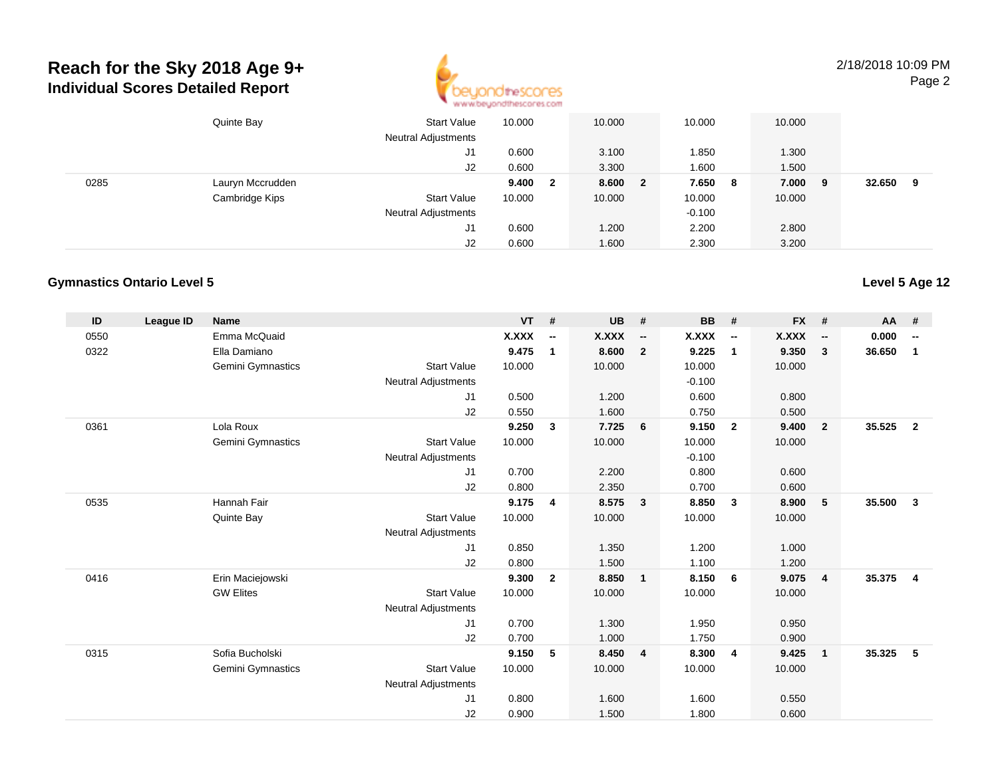

2/18/2018 10:09 PMPage 2

|      | Quinte Bay       | <b>Start Value</b><br><b>Neutral Adjustments</b> | 10.000 |                         | 10.000 |                         | 10.000   |   | 10.000 |    |        |   |
|------|------------------|--------------------------------------------------|--------|-------------------------|--------|-------------------------|----------|---|--------|----|--------|---|
|      |                  | J1                                               | 0.600  |                         | 3.100  |                         | 1.850    |   | 1.300  |    |        |   |
|      |                  | J2                                               | 0.600  |                         | 3.300  |                         | 1.600    |   | 1.500  |    |        |   |
| 0285 | Lauryn Mccrudden |                                                  | 9.400  | $\overline{\mathbf{2}}$ | 8.600  | $\overline{\mathbf{2}}$ | 7.650    | 8 | 7.000  | -9 | 32.650 | 9 |
|      | Cambridge Kips   | <b>Start Value</b>                               | 10.000 |                         | 10.000 |                         | 10.000   |   | 10.000 |    |        |   |
|      |                  | <b>Neutral Adjustments</b>                       |        |                         |        |                         | $-0.100$ |   |        |    |        |   |
|      |                  | J1                                               | 0.600  |                         | 1.200  |                         | 2.200    |   | 2.800  |    |        |   |
|      |                  | J2                                               | 0.600  |                         | 1.600  |                         | 2.300    |   | 3.200  |    |        |   |

#### **Gymnastics Ontario Level 5**

| ID   | <b>League ID</b> | <b>Name</b>              |                            | <b>VT</b>    | #                        | <b>UB</b> | #                        | <b>BB</b> | #                        | <b>FX</b>    | #                        | AA     | #                        |
|------|------------------|--------------------------|----------------------------|--------------|--------------------------|-----------|--------------------------|-----------|--------------------------|--------------|--------------------------|--------|--------------------------|
| 0550 |                  | Emma McQuaid             |                            | <b>X.XXX</b> | $\overline{\phantom{a}}$ | X.XXX     | $\overline{\phantom{a}}$ | X.XXX     | $\overline{\phantom{a}}$ | <b>X.XXX</b> | $\overline{\phantom{a}}$ | 0.000  | $\overline{\phantom{a}}$ |
| 0322 |                  | Ella Damiano             |                            | 9.475        | $\mathbf{1}$             | 8.600     | $\overline{2}$           | 9.225     | $\mathbf{1}$             | 9.350        | 3                        | 36.650 | $\mathbf{1}$             |
|      |                  | Gemini Gymnastics        | <b>Start Value</b>         | 10.000       |                          | 10.000    |                          | 10.000    |                          | 10.000       |                          |        |                          |
|      |                  |                          | <b>Neutral Adjustments</b> |              |                          |           |                          | $-0.100$  |                          |              |                          |        |                          |
|      |                  |                          | J1                         | 0.500        |                          | 1.200     |                          | 0.600     |                          | 0.800        |                          |        |                          |
|      |                  |                          | J2                         | 0.550        |                          | 1.600     |                          | 0.750     |                          | 0.500        |                          |        |                          |
| 0361 |                  | Lola Roux                |                            | 9.250        | 3                        | 7.725     | 6                        | 9.150     | $\overline{2}$           | 9.400        | $\overline{\mathbf{2}}$  | 35.525 | $\overline{2}$           |
|      |                  | Gemini Gymnastics        | <b>Start Value</b>         | 10.000       |                          | 10.000    |                          | 10.000    |                          | 10.000       |                          |        |                          |
|      |                  |                          | <b>Neutral Adjustments</b> |              |                          |           |                          | $-0.100$  |                          |              |                          |        |                          |
|      |                  |                          | J <sub>1</sub>             | 0.700        |                          | 2.200     |                          | 0.800     |                          | 0.600        |                          |        |                          |
|      |                  |                          | J2                         | 0.800        |                          | 2.350     |                          | 0.700     |                          | 0.600        |                          |        |                          |
| 0535 |                  | Hannah Fair              |                            | 9.175        | 4                        | 8.575     | $\mathbf{3}$             | 8.850     | $\mathbf{3}$             | 8.900        | 5                        | 35.500 | 3                        |
|      |                  | Quinte Bay               | <b>Start Value</b>         | 10.000       |                          | 10.000    |                          | 10.000    |                          | 10.000       |                          |        |                          |
|      |                  |                          | <b>Neutral Adjustments</b> |              |                          |           |                          |           |                          |              |                          |        |                          |
|      |                  |                          | J1                         | 0.850        |                          | 1.350     |                          | 1.200     |                          | 1.000        |                          |        |                          |
|      |                  |                          | J2                         | 0.800        |                          | 1.500     |                          | 1.100     |                          | 1.200        |                          |        |                          |
| 0416 |                  | Erin Maciejowski         |                            | 9.300        | $\overline{2}$           | 8.850     | $\overline{1}$           | 8.150     | 6                        | 9.075        | $\overline{4}$           | 35.375 | $\overline{\mathbf{4}}$  |
|      |                  | <b>GW Elites</b>         | <b>Start Value</b>         | 10.000       |                          | 10.000    |                          | 10.000    |                          | 10.000       |                          |        |                          |
|      |                  |                          | <b>Neutral Adjustments</b> |              |                          |           |                          |           |                          |              |                          |        |                          |
|      |                  |                          | J <sub>1</sub>             | 0.700        |                          | 1.300     |                          | 1.950     |                          | 0.950        |                          |        |                          |
|      |                  |                          | J2                         | 0.700        |                          | 1.000     |                          | 1.750     |                          | 0.900        |                          |        |                          |
| 0315 |                  | Sofia Bucholski          |                            | 9.150        | 5                        | 8.450     | $\overline{4}$           | 8.300     | 4                        | 9.425        | $\overline{1}$           | 35.325 | 5                        |
|      |                  | <b>Gemini Gymnastics</b> | <b>Start Value</b>         | 10.000       |                          | 10.000    |                          | 10.000    |                          | 10.000       |                          |        |                          |
|      |                  |                          | <b>Neutral Adjustments</b> |              |                          |           |                          |           |                          |              |                          |        |                          |
|      |                  |                          | J <sub>1</sub>             | 0.800        |                          | 1.600     |                          | 1.600     |                          | 0.550        |                          |        |                          |
|      |                  |                          | J <sub>2</sub>             | 0.900        |                          | 1.500     |                          | 1.800     |                          | 0.600        |                          |        |                          |

**Level 5 Age 12**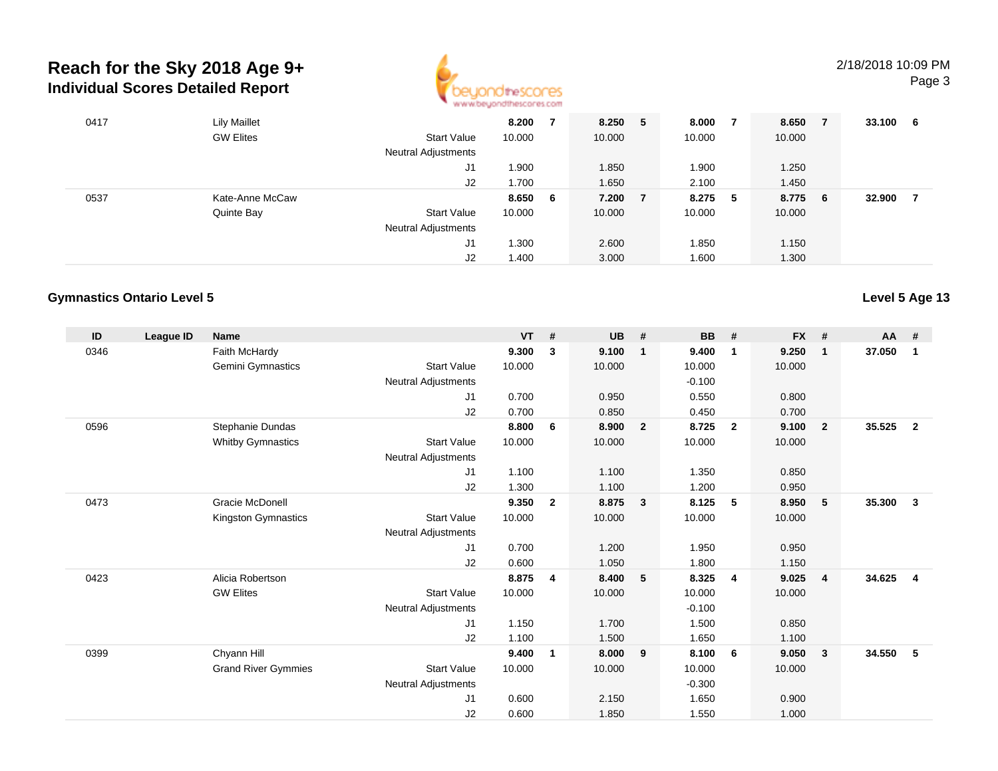

| 0417 | <b>Lily Maillet</b> |                            | 8.200  |     | 8.250  | 5 | 8.000  |     | 8.650  | - 7 | 33.100 | - 6 |
|------|---------------------|----------------------------|--------|-----|--------|---|--------|-----|--------|-----|--------|-----|
|      | <b>GW Elites</b>    | <b>Start Value</b>         | 10.000 |     | 10.000 |   | 10.000 |     | 10.000 |     |        |     |
|      |                     | Neutral Adjustments        |        |     |        |   |        |     |        |     |        |     |
|      |                     | J1                         | .900 ا |     | 1.850  |   | 1.900  |     | 1.250  |     |        |     |
|      |                     | J2                         | 1.700  |     | 1.650  |   | 2.100  |     | 1.450  |     |        |     |
| 0537 | Kate-Anne McCaw     |                            | 8.650  | - 6 | 7.200  | 7 | 8.275  | - 5 | 8.775  | - 6 | 32.900 |     |
|      | Quinte Bay          | <b>Start Value</b>         | 10.000 |     | 10.000 |   | 10.000 |     | 10.000 |     |        |     |
|      |                     | <b>Neutral Adjustments</b> |        |     |        |   |        |     |        |     |        |     |
|      |                     | J1                         | 1.300  |     | 2.600  |   | 1.850  |     | 1.150  |     |        |     |
|      |                     | J2                         | 1.400  |     | 3.000  |   | 1.600  |     | 1.300  |     |        |     |

#### **Gymnastics Ontario Level 5**

| ID   | League ID | <b>Name</b>                |                            | <b>VT</b> | #              | <b>UB</b> | #                       | <b>BB</b> | #              | <b>FX</b> | #              | <b>AA</b> | #              |
|------|-----------|----------------------------|----------------------------|-----------|----------------|-----------|-------------------------|-----------|----------------|-----------|----------------|-----------|----------------|
| 0346 |           | Faith McHardy              |                            | 9.300     | 3              | 9.100     | $\overline{1}$          | 9.400     | $\overline{1}$ | 9.250     | $\mathbf{1}$   | 37.050    | $\mathbf{1}$   |
|      |           | Gemini Gymnastics          | <b>Start Value</b>         | 10.000    |                | 10.000    |                         | 10.000    |                | 10.000    |                |           |                |
|      |           |                            | <b>Neutral Adjustments</b> |           |                |           |                         | $-0.100$  |                |           |                |           |                |
|      |           |                            | J <sub>1</sub>             | 0.700     |                | 0.950     |                         | 0.550     |                | 0.800     |                |           |                |
|      |           |                            | J <sub>2</sub>             | 0.700     |                | 0.850     |                         | 0.450     |                | 0.700     |                |           |                |
| 0596 |           | Stephanie Dundas           |                            | 8.800     | 6              | 8.900     | $\overline{\mathbf{2}}$ | 8.725     | $\overline{2}$ | 9.100     | $\overline{2}$ | 35.525    | $\overline{2}$ |
|      |           | <b>Whitby Gymnastics</b>   | <b>Start Value</b>         | 10.000    |                | 10.000    |                         | 10.000    |                | 10.000    |                |           |                |
|      |           |                            | <b>Neutral Adjustments</b> |           |                |           |                         |           |                |           |                |           |                |
|      |           |                            | J <sub>1</sub>             | 1.100     |                | 1.100     |                         | 1.350     |                | 0.850     |                |           |                |
|      |           |                            | J <sub>2</sub>             | 1.300     |                | 1.100     |                         | 1.200     |                | 0.950     |                |           |                |
| 0473 |           | <b>Gracie McDonell</b>     |                            | 9.350     | $\overline{2}$ | 8.875     | $\overline{\mathbf{3}}$ | 8.125     | 5              | 8.950     | 5              | 35.300    | $\mathbf{3}$   |
|      |           | Kingston Gymnastics        | <b>Start Value</b>         | 10.000    |                | 10.000    |                         | 10.000    |                | 10.000    |                |           |                |
|      |           |                            | <b>Neutral Adjustments</b> |           |                |           |                         |           |                |           |                |           |                |
|      |           |                            | J <sub>1</sub>             | 0.700     |                | 1.200     |                         | 1.950     |                | 0.950     |                |           |                |
|      |           |                            | J2                         | 0.600     |                | 1.050     |                         | 1.800     |                | 1.150     |                |           |                |
| 0423 |           | Alicia Robertson           |                            | 8.875     | 4              | 8.400     | 5                       | 8.325     | $\overline{4}$ | 9.025     | $\overline{4}$ | 34.625    | $\overline{4}$ |
|      |           | <b>GW Elites</b>           | <b>Start Value</b>         | 10.000    |                | 10.000    |                         | 10.000    |                | 10.000    |                |           |                |
|      |           |                            | <b>Neutral Adjustments</b> |           |                |           |                         | $-0.100$  |                |           |                |           |                |
|      |           |                            | J1                         | 1.150     |                | 1.700     |                         | 1.500     |                | 0.850     |                |           |                |
|      |           |                            | J <sub>2</sub>             | 1.100     |                | 1.500     |                         | 1.650     |                | 1.100     |                |           |                |
| 0399 |           | Chyann Hill                |                            | 9.400     | $\mathbf{1}$   | 8.000     | 9                       | 8.100     | - 6            | 9.050     | $\mathbf{3}$   | 34.550    | 5              |
|      |           | <b>Grand River Gymmies</b> | <b>Start Value</b>         | 10.000    |                | 10.000    |                         | 10.000    |                | 10.000    |                |           |                |
|      |           |                            | <b>Neutral Adjustments</b> |           |                |           |                         | $-0.300$  |                |           |                |           |                |
|      |           |                            | J <sub>1</sub>             | 0.600     |                | 2.150     |                         | 1.650     |                | 0.900     |                |           |                |
|      |           |                            | J <sub>2</sub>             | 0.600     |                | 1.850     |                         | 1.550     |                | 1.000     |                |           |                |

**Level 5 Age 13**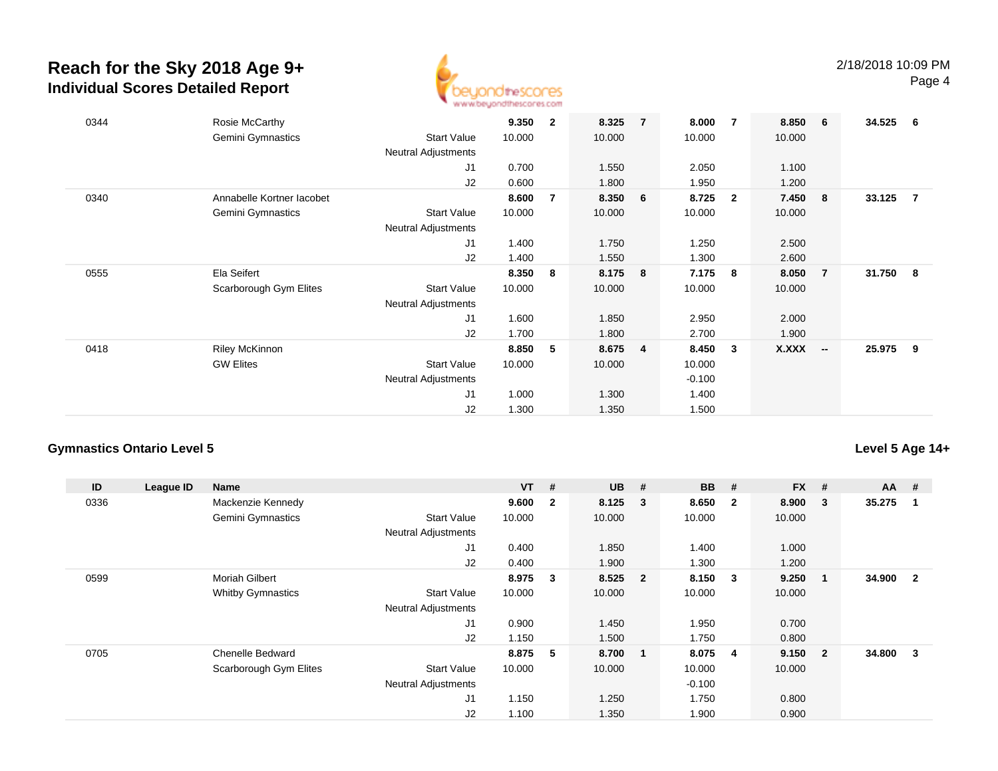

| 0344 | Rosie McCarthy<br>Gemini Gymnastics | <b>Start Value</b><br><b>Neutral Adjustments</b> | 9.350<br>10.000 | $\overline{2}$ | 8.325<br>10.000 | $\overline{7}$ | 8.000<br>10.000 | 7              | 8.850<br>10.000 | - 6                      | 34.525 | - 6            |
|------|-------------------------------------|--------------------------------------------------|-----------------|----------------|-----------------|----------------|-----------------|----------------|-----------------|--------------------------|--------|----------------|
|      |                                     | J1                                               | 0.700           |                | 1.550           |                | 2.050           |                | 1.100           |                          |        |                |
|      |                                     | J2                                               | 0.600           |                | 1.800           |                | 1.950           |                | 1.200           |                          |        |                |
| 0340 | Annabelle Kortner lacobet           |                                                  | 8.600           | $\overline{7}$ | 8.350           | 6              | 8.725           | $\overline{2}$ | 7.450           | - 8                      | 33.125 | $\overline{7}$ |
|      | Gemini Gymnastics                   | <b>Start Value</b>                               | 10.000          |                | 10.000          |                | 10.000          |                | 10.000          |                          |        |                |
|      |                                     | <b>Neutral Adjustments</b>                       |                 |                |                 |                |                 |                |                 |                          |        |                |
|      |                                     | J1                                               | 1.400           |                | 1.750           |                | 1.250           |                | 2.500           |                          |        |                |
|      |                                     | J2                                               | 1.400           |                | 1.550           |                | 1.300           |                | 2.600           |                          |        |                |
| 0555 | Ela Seifert                         |                                                  | 8.350           | 8              | 8.175           | 8              | 7.175           | -8             | 8.050           | $\overline{7}$           | 31.750 | - 8            |
|      | Scarborough Gym Elites              | <b>Start Value</b>                               | 10.000          |                | 10.000          |                | 10.000          |                | 10.000          |                          |        |                |
|      |                                     | <b>Neutral Adjustments</b>                       |                 |                |                 |                |                 |                |                 |                          |        |                |
|      |                                     | J1                                               | 1.600           |                | 1.850           |                | 2.950           |                | 2.000           |                          |        |                |
|      |                                     | J2                                               | 1.700           |                | 1.800           |                | 2.700           |                | 1.900           |                          |        |                |
| 0418 | <b>Riley McKinnon</b>               |                                                  | 8.850           | 5              | 8.675           | $\overline{4}$ | 8.450           | 3              | X.XXX           | $\overline{\phantom{a}}$ | 25.975 | - 9            |
|      | <b>GW Elites</b>                    | <b>Start Value</b>                               | 10.000          |                | 10.000          |                | 10.000          |                |                 |                          |        |                |
|      |                                     | Neutral Adjustments                              |                 |                |                 |                | $-0.100$        |                |                 |                          |        |                |
|      |                                     | J <sub>1</sub>                                   | 1.000           |                | 1.300           |                | 1.400           |                |                 |                          |        |                |
|      |                                     | J2                                               | 1.300           |                | 1.350           |                | 1.500           |                |                 |                          |        |                |

#### **Gymnastics Ontario Level 5**

### **Level 5 Age 14+**

| ID   | League ID | <b>Name</b>              |                            | $VT$ # |                | <b>UB</b> | #                       | <b>BB</b> | #              | <b>FX</b> | #              | $AA$ # |                |
|------|-----------|--------------------------|----------------------------|--------|----------------|-----------|-------------------------|-----------|----------------|-----------|----------------|--------|----------------|
| 0336 |           | Mackenzie Kennedy        |                            | 9.600  | $\overline{2}$ | 8.125     | $\overline{\mathbf{3}}$ | 8.650     | $\overline{2}$ | 8.900     | 3              | 35.275 |                |
|      |           | <b>Gemini Gymnastics</b> | <b>Start Value</b>         | 10.000 |                | 10.000    |                         | 10.000    |                | 10.000    |                |        |                |
|      |           |                          | <b>Neutral Adjustments</b> |        |                |           |                         |           |                |           |                |        |                |
|      |           |                          | J <sub>1</sub>             | 0.400  |                | 1.850     |                         | 1.400     |                | 1.000     |                |        |                |
|      |           |                          | J2                         | 0.400  |                | 1.900     |                         | 1.300     |                | 1.200     |                |        |                |
| 0599 |           | <b>Moriah Gilbert</b>    |                            | 8.975  | 3              | 8.525     | $\overline{\mathbf{2}}$ | 8.150     | 3              | 9.250     |                | 34.900 | $\overline{2}$ |
|      |           | <b>Whitby Gymnastics</b> | <b>Start Value</b>         | 10.000 |                | 10.000    |                         | 10.000    |                | 10.000    |                |        |                |
|      |           |                          | <b>Neutral Adjustments</b> |        |                |           |                         |           |                |           |                |        |                |
|      |           |                          | J <sub>1</sub>             | 0.900  |                | 1.450     |                         | 1.950     |                | 0.700     |                |        |                |
|      |           |                          | J2                         | 1.150  |                | 1.500     |                         | 1.750     |                | 0.800     |                |        |                |
| 0705 |           | <b>Chenelle Bedward</b>  |                            | 8.875  | -5             | 8.700     | $\overline{\mathbf{1}}$ | 8.075     | 4              | 9.150     | $\overline{2}$ | 34.800 | 3              |
|      |           | Scarborough Gym Elites   | <b>Start Value</b>         | 10.000 |                | 10.000    |                         | 10.000    |                | 10.000    |                |        |                |
|      |           |                          | <b>Neutral Adjustments</b> |        |                |           |                         | $-0.100$  |                |           |                |        |                |
|      |           |                          | J <sub>1</sub>             | 1.150  |                | 1.250     |                         | 1.750     |                | 0.800     |                |        |                |
|      |           |                          | J2                         | 1.100  |                | 1.350     |                         | 1.900     |                | 0.900     |                |        |                |